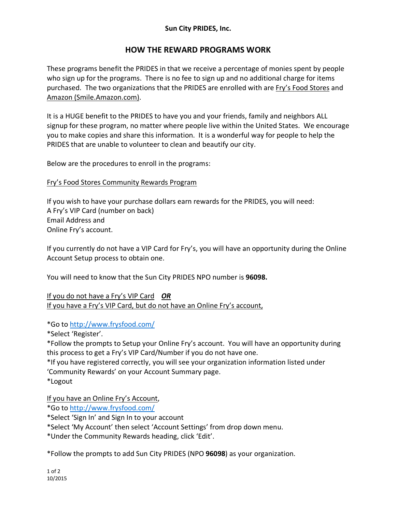## **Sun City PRIDES, Inc.**

# **HOW THE REWARD PROGRAMS WORK**

These programs benefit the PRIDES in that we receive a percentage of monies spent by people who sign up for the programs. There is no fee to sign up and no additional charge for items purchased. The two organizations that the PRIDES are enrolled with are Fry's Food Stores and Amazon (Smile.Amazon.com).

It is a HUGE benefit to the PRIDES to have you and your friends, family and neighbors ALL signup for these program, no matter where people live within the United States. We encourage you to make copies and share this information. It is a wonderful way for people to help the PRIDES that are unable to volunteer to clean and beautify our city.

Below are the procedures to enroll in the programs:

### Fry's Food Stores Community Rewards Program

If you wish to have your purchase dollars earn rewards for the PRIDES, you will need: A Fry's VIP Card (number on back) Email Address and Online Fry's account.

If you currently do not have a VIP Card for Fry's, you will have an opportunity during the Online Account Setup process to obtain one.

You will need to know that the Sun City PRIDES NPO number is **96098.**

If you do not have a Fry's VIP Card *OR* If you have a Fry's VIP Card, but do not have an Online Fry's account,

\*Go to http://www.frysfood.com/

\*Select 'Register'.

\*Follow the prompts to Setup your Online Fry's account. You will have an opportunity during this process to get a Fry's VIP Card/Number if you do not have one.

\*If you have registered correctly, you will see your organization information listed under 'Community Rewards' on your Account Summary page.

\*Logout

If you have an Online Fry's Account,

\*Go to http://www.frysfood.com/

\*Select 'Sign In' and Sign In to your account

\*Select 'My Account' then select 'Account Settings' from drop down menu.

\*Under the Community Rewards heading, click 'Edit'.

\*Follow the prompts to add Sun City PRIDES (NPO **96098**) as your organization.